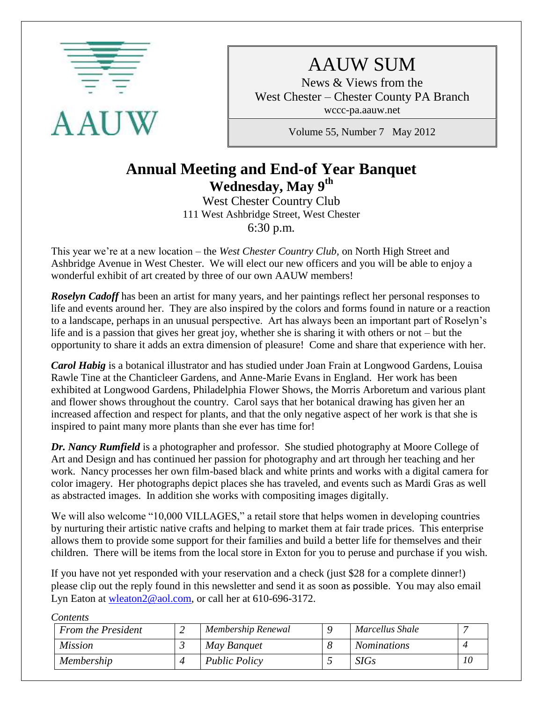

# AAUW SUM

News & Views from the West Chester – Chester County PA Branch wccc-pa.aauw.net

Volume 55, Number 7 May 2012

# **Annual Meeting and End-of Year Banquet Wednesday, May 9th**

West Chester Country Club 111 West Ashbridge Street, West Chester 6:30 p.m.

This year we're at a new location – the *West Chester Country Club,* on North High Street and Ashbridge Avenue in West Chester. We will elect our new officers and you will be able to enjoy a wonderful exhibit of art created by three of our own AAUW members!

**Roselyn Cadoff** has been an artist for many years, and her paintings reflect her personal responses to life and events around her. They are also inspired by the colors and forms found in nature or a reaction to a landscape, perhaps in an unusual perspective. Art has always been an important part of Roselyn's life and is a passion that gives her great joy, whether she is sharing it with others or not – but the opportunity to share it adds an extra dimension of pleasure! Come and share that experience with her.

*Carol Habig* is a botanical illustrator and has studied under Joan Frain at Longwood Gardens, Louisa Rawle Tine at the Chanticleer Gardens, and Anne-Marie Evans in England. Her work has been exhibited at Longwood Gardens, Philadelphia Flower Shows, the Morris Arboretum and various plant and flower shows throughout the country. Carol says that her botanical drawing has given her an increased affection and respect for plants, and that the only negative aspect of her work is that she is inspired to paint many more plants than she ever has time for!

*Dr. Nancy Rumfield* is a photographer and professor. She studied photography at Moore College of Art and Design and has continued her passion for photography and art through her teaching and her work. Nancy processes her own film-based black and white prints and works with a digital camera for color imagery. Her photographs depict places she has traveled, and events such as Mardi Gras as well as abstracted images. In addition she works with compositing images digitally.

We will also welcome "10,000 VILLAGES," a retail store that helps women in developing countries by nurturing their artistic native crafts and helping to market them at fair trade prices. This enterprise allows them to provide some support for their families and build a better life for themselves and their children. There will be items from the local store in Exton for you to peruse and purchase if you wish.

If you have not yet responded with your reservation and a check (just \$28 for a complete dinner!) please clip out the reply found in this newsletter and send it as soon as possible. You may also email Lyn Eaton at [wleaton2@aol.com,](mailto:wleaton2@aol.com) or call her at 610-696-3172.

| <b>From the President</b> | Membership Renewal   | Marcellus Shale    |  |
|---------------------------|----------------------|--------------------|--|
| <i>Mission</i>            | May Banquet          | <i>Nominations</i> |  |
| Membership                | <b>Public Policy</b> | SIGs               |  |

*Contents*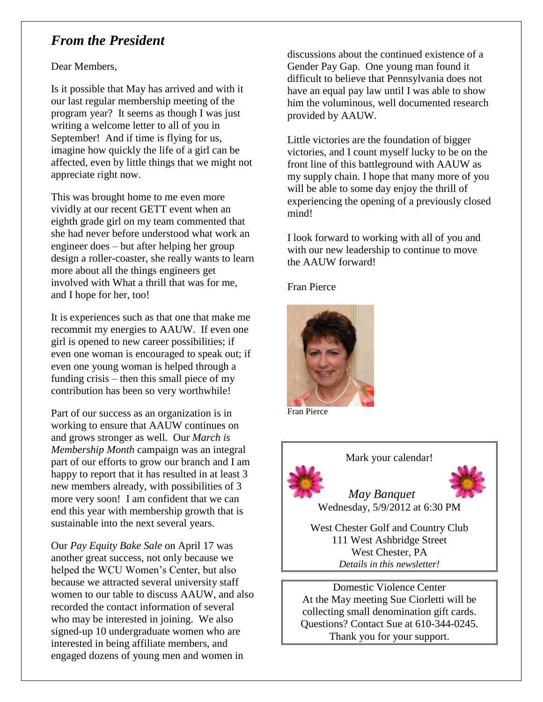# *From the President*

Dear Members,

Is it possible that May has arrived and with it our last regular membership meeting of the program year? It seems as though I was just writing a welcome letter to all of you in September! And if time is flying for us, imagine how quickly the life of a girl can be affected, even by little things that we might not appreciate right now.

This was brought home to me even more vividly at our recent GETT event when an eighth grade girl on my team commented that she had never before understood what work an engineer does – but after helping her group design a roller-coaster, she really wants to learn more about all the things engineers get involved with What a thrill that was for me, and I hope for her, too!

It is experiences such as that one that make me recommit my energies to AAUW. If even one girl is opened to new career possibilities; if even one woman is encouraged to speak out; if even one young woman is helped through a funding crisis – then this small piece of my contribution has been so very worthwhile!

Part of our success as an organization is in working to ensure that AAUW continues on and grows stronger as well. Our *March is Membership Month* campaign was an integral part of our efforts to grow our branch and I am happy to report that it has resulted in at least 3 new members already, with possibilities of 3 more very soon! I am confident that we can end this year with membership growth that is sustainable into the next several years.

Our *Pay Equity Bake Sale* on April 17 was another great success, not only because we helped the WCU Women's Center, but also because we attracted several university staff women to our table to discuss AAUW, and also recorded the contact information of several who may be interested in joining. We also signed-up 10 undergraduate women who are interested in being affiliate members, and engaged dozens of young men and women in

discussions about the continued existence of a Gender Pay Gap. One young man found it difficult to believe that Pennsylvania does not have an equal pay law until I was able to show him the voluminous, well documented research provided by AAUW.

Little victories are the foundation of bigger victories, and I count myself lucky to be on the front line of this battleground with AAUW as my supply chain. I hope that many more of you will be able to some day enjoy the thrill of experiencing the opening of a previously closed mind!

I look forward to working with all of you and with our new leadership to continue to move the AAUW forward!

Fran Pierce



Fran Pierce



Mark your calendar!



 *May Banquet*  Wednesday, 5/9/2012 at 6:30 PM

West Chester Golf and Country Club 111 West Ashbridge Street West Chester, PA *Details in this newsletter!*

Domestic Violence Center At the May meeting Sue Ciorletti will be collecting small denomination gift cards. Questions? Contact Sue at 610-344-0245. Thank you for your support.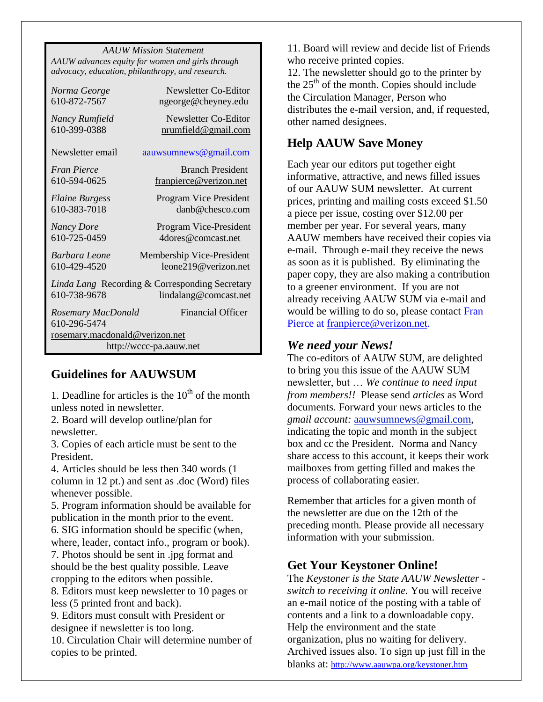*AAUW Mission Statement AAUW advances equity for women and girls through advocacy, education, philanthropy, and research.*

| Norma George                   | Newsletter Co-Editor                           |  |  |  |
|--------------------------------|------------------------------------------------|--|--|--|
| 610-872-7567                   | ngeorge@cheyney.edu                            |  |  |  |
| Nancy Rumfield                 | Newsletter Co-Editor                           |  |  |  |
| 610-399-0388                   | nrumfield@gmail.com                            |  |  |  |
|                                |                                                |  |  |  |
| Newsletter email               | <u>aauwsumnews@gmail.com</u>                   |  |  |  |
| Fran Pierce                    | <b>Branch President</b>                        |  |  |  |
| 610-594-0625                   | franpierce@verizon.net                         |  |  |  |
|                                | Program Vice President                         |  |  |  |
| Elaine Burgess<br>610-383-7018 | danb@chesco.com                                |  |  |  |
|                                |                                                |  |  |  |
| <b>Nancy Dore</b>              | Program Vice-President                         |  |  |  |
| 610-725-0459                   | 4 dores @comcast.net                           |  |  |  |
| <b>Barbara</b> Leone           | Membership Vice-President                      |  |  |  |
| 610-429-4520                   | leone219@verizon.net                           |  |  |  |
|                                | Linda Lang Recording & Corresponding Secretary |  |  |  |
| 610-738-9678                   |                                                |  |  |  |
|                                | lindalang@comcast.net                          |  |  |  |
| Rosemary MacDonald             | <b>Financial Officer</b>                       |  |  |  |
| 610-296-5474                   |                                                |  |  |  |
| rosemary.macdonald@verizon.net |                                                |  |  |  |
| http://wccc-pa.aauw.net        |                                                |  |  |  |

### **Guidelines for AAUWSUM**

1. Deadline for articles is the  $10<sup>th</sup>$  of the month unless noted in newsletter.

2. Board will develop outline/plan for newsletter.

3. Copies of each article must be sent to the President.

4. Articles should be less then 340 words (1 column in 12 pt.) and sent as .doc (Word) files whenever possible.

5. Program information should be available for publication in the month prior to the event.

6. SIG information should be specific (when, where, leader, contact info., program or book). 7. Photos should be sent in .jpg format and

should be the best quality possible. Leave cropping to the editors when possible.

8. Editors must keep newsletter to 10 pages or less (5 printed front and back).

9. Editors must consult with President or designee if newsletter is too long.

10. Circulation Chair will determine number of copies to be printed.

11. Board will review and decide list of Friends who receive printed copies.

12. The newsletter should go to the printer by the  $25<sup>th</sup>$  of the month. Copies should include the Circulation Manager, Person who distributes the e-mail version, and, if requested, other named designees.

### **Help AAUW Save Money**

Each year our editors put together eight informative, attractive, and news filled issues of our AAUW SUM newsletter. At current prices, printing and mailing costs exceed \$1.50 a piece per issue, costing over \$12.00 per member per year. For several years, many AAUW members have received their copies via e-mail. Through e-mail they receive the news as soon as it is published. By eliminating the paper copy, they are also making a contribution to a greener environment. If you are not already receiving AAUW SUM via e-mail and would be willing to do so, please contact Fran Pierce at [franpierce@verizon.net.](mailto:franpierce@verizon.net)

#### *We need your News!*

The co-editors of AAUW SUM, are delighted to bring you this issue of the AAUW SUM newsletter, but … *We continue to need input from members!!* Please send *articles* as Word documents. Forward your news articles to the *gmail account:* [aauwsumnews@gmail.com,](mailto:aauwsum@gmail.com) indicating the topic and month in the subject box and cc the President. Norma and Nancy share access to this account, it keeps their work mailboxes from getting filled and makes the process of collaborating easier.

Remember that articles for a given month of the newsletter are due on the 12th of the preceding month*.* Please provide all necessary information with your submission.

### **Get Your Keystoner Online!**

The *Keystoner is the State AAUW Newsletter switch to receiving it online.* You will receive an e-mail notice of the posting with a table of contents and a link to a downloadable copy. Help the environment and the state organization, plus no waiting for delivery. Archived issues also. To sign up just fill in the blanks at: <http://www.aauwpa.org/keystoner.htm>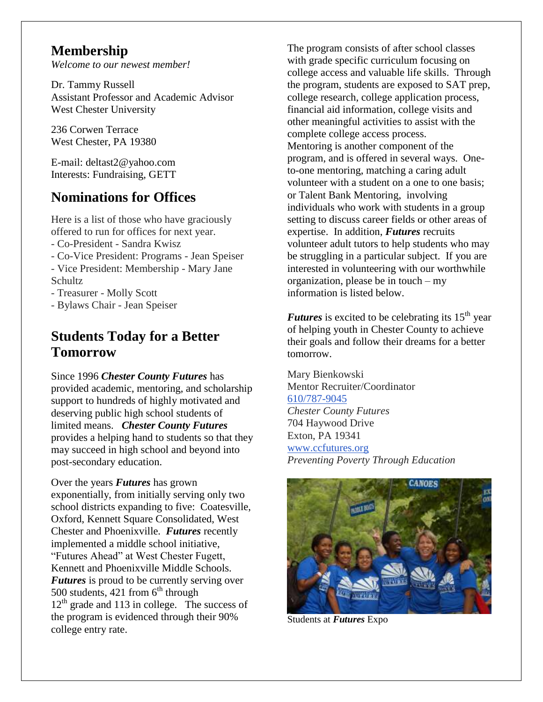# **Membership**

*Welcome to our newest member!*

Dr. Tammy Russell Assistant Professor and Academic Advisor West Chester University

236 Corwen Terrace West Chester, PA 19380

E-mail: deltast2@yahoo.com Interests: Fundraising, GETT

# **Nominations for Offices**

Here is a list of those who have graciously offered to run for offices for next year. - Co-President - Sandra Kwisz

- Co-Vice President: Programs - Jean Speiser

- Vice President: Membership - Mary Jane Schultz

- Treasurer - Molly Scott

- Bylaws Chair - Jean Speiser

# **Students Today for a Better Tomorrow**

Since 1996 *Chester County Futures* has provided academic, mentoring, and scholarship support to hundreds of highly motivated and deserving public high school students of limited means. *Chester County Futures* provides a helping hand to students so that they may succeed in high school and beyond into post-secondary education.

Over the years *Futures* has grown exponentially, from initially serving only two school districts expanding to five: Coatesville, Oxford, Kennett Square Consolidated, West Chester and Phoenixville. *Futures* recently implemented a middle school initiative, "Futures Ahead" at West Chester Fugett, Kennett and Phoenixville Middle Schools. *Futures* is proud to be currently serving over 500 students, 421 from  $6<sup>th</sup>$  through  $12<sup>th</sup>$  grade and 113 in college. The success of the program is evidenced through their 90% college entry rate.

The program consists of after school classes with grade specific curriculum focusing on college access and valuable life skills. Through the program, students are exposed to SAT prep, college research, college application process, financial aid information, college visits and other meaningful activities to assist with the complete college access process. Mentoring is another component of the program, and is offered in several ways. Oneto-one mentoring, matching a caring adult volunteer with a student on a one to one basis; or Talent Bank Mentoring, involving individuals who work with students in a group setting to discuss career fields or other areas of expertise. In addition, *Futures* recruits volunteer adult tutors to help students who may be struggling in a particular subject. If you are interested in volunteering with our worthwhile organization, please be in touch – my information is listed below.

*Futures* is excited to be celebrating its  $15<sup>th</sup>$  year of helping youth in Chester County to achieve their goals and follow their dreams for a better tomorrow.

Mary Bienkowski Mentor Recruiter/Coordinator [610/787-9045](tel:/610%2F787-9045) *Chester County Futures* 704 Haywood Drive Exton, PA 19341 [www.ccfutures.org](http://www.ccfutures.org/) *Preventing Poverty Through Education*



Students at *Futures* Expo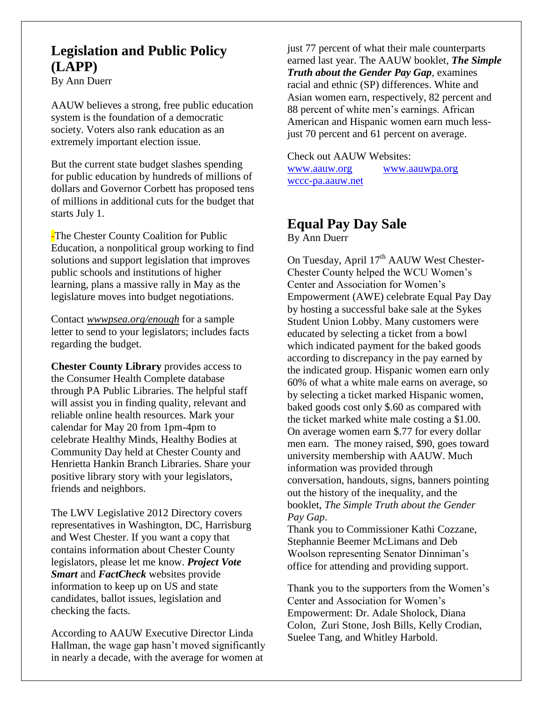# **Legislation and Public Policy (LAPP)**

By Ann Duerr

AAUW believes a strong, free public education system is the foundation of a democratic society. Voters also rank education as an extremely important election issue.

But the current state budget slashes spending for public education by hundreds of millions of dollars and Governor Corbett has proposed tens of millions in additional cuts for the budget that starts July 1.

-The Chester County Coalition for Public Education, a nonpolitical group working to find solutions and support legislation that improves public schools and institutions of higher learning, plans a massive rally in May as the legislature moves into budget negotiations.

Contact *wwwpsea.org/enough* for a sample letter to send to your legislators; includes facts regarding the budget.

**Chester County Library** provides access to the Consumer Health Complete database through PA Public Libraries. The helpful staff will assist you in finding quality, relevant and reliable online health resources. Mark your calendar for May 20 from 1pm-4pm to celebrate Healthy Minds, Healthy Bodies at Community Day held at Chester County and Henrietta Hankin Branch Libraries. Share your positive library story with your legislators, friends and neighbors.

The LWV Legislative 2012 Directory covers representatives in Washington, DC, Harrisburg and West Chester. If you want a copy that contains information about Chester County legislators, please let me know. *Project Vote Smart* and *FactCheck* websites provide information to keep up on US and state candidates, ballot issues, legislation and checking the facts.

According to AAUW Executive Director Linda Hallman, the wage gap hasn't moved significantly in nearly a decade, with the average for women at

just 77 percent of what their male counterparts earned last year. The AAUW booklet, *The Simple Truth about the Gender Pay Gap*, examines racial and ethnic (SP) differences. White and Asian women earn, respectively, 82 percent and 88 percent of white men's earnings. African American and Hispanic women earn much lessjust 70 percent and 61 percent on average.

Check out AAUW Websites: [www.aauw.org](http://www.aauw.org/) [www.aauwpa.org](http://www.aauwpa.org/)

wccc-pa.aauw.net

## **Equal Pay Day Sale** By Ann Duerr

On Tuesday, April  $17<sup>th</sup>$  AAUW West Chester-Chester County helped the WCU Women's Center and Association for Women's Empowerment (AWE) celebrate Equal Pay Day by hosting a successful bake sale at the Sykes Student Union Lobby. Many customers were educated by selecting a ticket from a bowl which indicated payment for the baked goods according to discrepancy in the pay earned by the indicated group. Hispanic women earn only 60% of what a white male earns on average, so by selecting a ticket marked Hispanic women, baked goods cost only \$.60 as compared with the ticket marked white male costing a \$1.00. On average women earn \$.77 for every dollar men earn. The money raised, \$90, goes toward university membership with AAUW. Much information was provided through conversation, handouts, signs, banners pointing out the history of the inequality, and the booklet, *The Simple Truth about the Gender Pay Gap*.

Thank you to Commissioner Kathi Cozzane, Stephannie Beemer McLimans and Deb Woolson representing Senator Dinniman's office for attending and providing support.

Thank you to the supporters from the Women's Center and Association for Women's Empowerment: Dr. Adale Sholock, Diana Colon, Zuri Stone, Josh Bills, Kelly Crodian, Suelee Tang, and Whitley Harbold.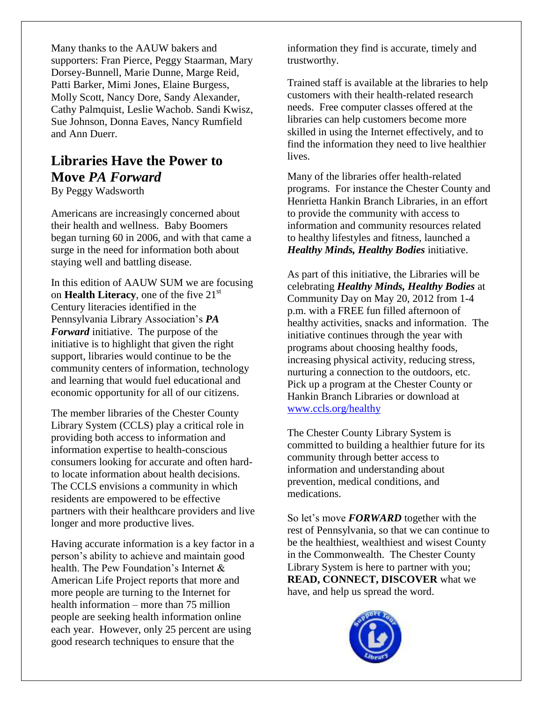Many thanks to the AAUW bakers and supporters: Fran Pierce, Peggy Staarman, Mary Dorsey-Bunnell, Marie Dunne, Marge Reid, Patti Barker, Mimi Jones, Elaine Burgess, Molly Scott, Nancy Dore, Sandy Alexander, Cathy Palmquist, Leslie Wachob. Sandi Kwisz, Sue Johnson, Donna Eaves, Nancy Rumfield and Ann Duerr.

# **Libraries Have the Power to Move** *PA Forward*

By Peggy Wadsworth

Americans are increasingly concerned about their health and wellness. Baby Boomers began turning 60 in 2006, and with that came a surge in the need for information both about staying well and battling disease.

In this edition of AAUW SUM we are focusing on **Health Literacy**, one of the five 21<sup>st</sup> Century literacies identified in the Pennsylvania Library Association's *PA Forward* initiative. The purpose of the initiative is to highlight that given the right support, libraries would continue to be the community centers of information, technology and learning that would fuel educational and economic opportunity for all of our citizens.

The member libraries of the Chester County Library System (CCLS) play a critical role in providing both access to information and information expertise to health-conscious consumers looking for accurate and often hardto locate information about health decisions. The CCLS envisions a community in which residents are empowered to be effective partners with their healthcare providers and live longer and more productive lives.

Having accurate information is a key factor in a person's ability to achieve and maintain good health. The Pew Foundation's Internet & American Life Project reports that more and more people are turning to the Internet for health information – more than 75 million people are seeking health information online each year. However, only 25 percent are using good research techniques to ensure that the

information they find is accurate, timely and trustworthy.

Trained staff is available at the libraries to help customers with their health-related research needs. Free computer classes offered at the libraries can help customers become more skilled in using the Internet effectively, and to find the information they need to live healthier lives.

Many of the libraries offer health-related programs. For instance the Chester County and Henrietta Hankin Branch Libraries, in an effort to provide the community with access to information and community resources related to healthy lifestyles and fitness, launched a *Healthy Minds, Healthy Bodies* initiative.

As part of this initiative, the Libraries will be celebrating *Healthy Minds, Healthy Bodies* at Community Day on May 20, 2012 from 1-4 p.m. with a FREE fun filled afternoon of healthy activities, snacks and information. The initiative continues through the year with [programs](http://www.ccls.org/assets/pdfs/CommunityDayBooklet.pdf) about choosing healthy foods, increasing physical activity, reducing stress, nurturing a connection to the outdoors, etc. Pick up a [program](http://www.ccls.org/assets/pdfs/CommunityDayPassport.pdf) at the Chester County or Hankin Branch Libraries or download at [www.ccls.org/healthy](http://www.ccls.org/healthy)

The Chester County Library System is committed to building a healthier future for its community through better access to information and understanding about prevention, medical conditions, and medications.

So let's move *FORWARD* together with the rest of Pennsylvania, so that we can continue to be the healthiest, wealthiest and wisest County in the Commonwealth. The Chester County Library System is here to partner with you; **READ, CONNECT, DISCOVER** what we have, and help us spread the word.

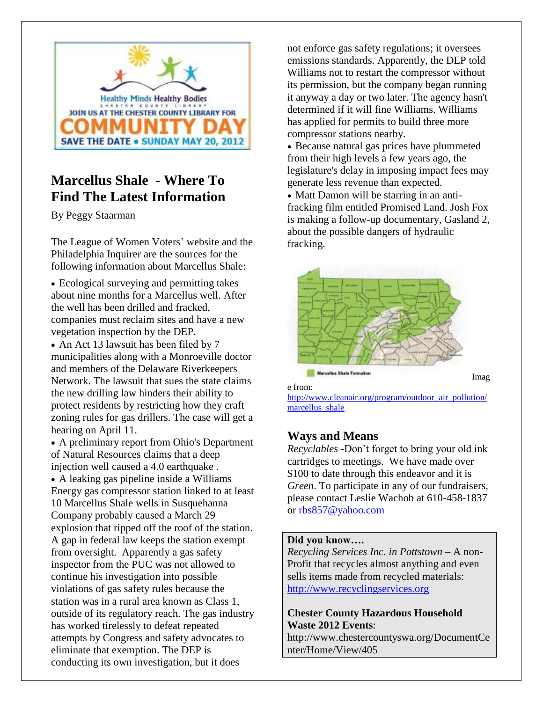

# **Marcellus Shale - Where To Find The Latest Information**

By Peggy Staarman

The League of Women Voters' website and the Philadelphia Inquirer are the sources for the following information about Marcellus Shale:

 Ecological surveying and permitting takes about nine months for a Marcellus well. After the well has been drilled and fracked, companies must reclaim sites and have a new vegetation inspection by the DEP.

• An Act 13 lawsuit has been filed by 7 municipalities along with a Monroeville doctor and members of the Delaware Riverkeepers Network. The lawsuit that sues the state claims the new drilling law hinders their ability to protect residents by restricting how they craft zoning rules for gas drillers. The case will get a hearing on April 11.

 A preliminary report from Ohio's Department of Natural Resources claims that a deep injection well caused a 4.0 earthquake . A leaking gas pipeline inside a Williams Energy gas compressor station linked to at least 10 Marcellus Shale wells in Susquehanna Company probably caused a March 29 explosion that ripped off the roof of the station. A gap in federal law keeps the station exempt from oversight. Apparently a gas safety inspector from the PUC was not allowed to continue his investigation into possible violations of gas safety rules because the station was in a rural area known as Class 1, outside of its regulatory reach. The gas industry has worked tirelessly to defeat repeated attempts by Congress and safety advocates to eliminate that exemption. The DEP is conducting its own investigation, but it does

not enforce gas safety regulations; it oversees emissions standards. Apparently, the DEP told Williams not to restart the compressor without its permission, but the company began running it anyway a day or two later. The agency hasn't determined if it will fine Williams. Williams has applied for permits to build three more compressor stations nearby.

 Because natural gas prices have plummeted from their high levels a few years ago, the legislature's delay in imposing impact fees may generate less revenue than expected.

• Matt Damon will be starring in an antifracking film entitled Promised Land. Josh Fox is making a follow-up documentary, Gasland 2, about the possible dangers of hydraulic fracking.



e from:

[http://www.cleanair.org/program/outdoor\\_air\\_pollution/](http://www.cleanair.org/program/outdoor_air_pollution/marcellus_shale) [marcellus\\_shale](http://www.cleanair.org/program/outdoor_air_pollution/marcellus_shale)

Imag

### **Ways and Means**

*Recyclables -*Don't forget to bring your old ink cartridges to meetings. We have made over \$100 to date through this endeavor and it is *Green*. To participate in any of our fundraisers, please contact Leslie Wachob at 610-458-1837 or [rbs857@yahoo.com](mailto:rbs857@yahoo.com)

#### **Did you know….**

*Recycling Services Inc. in Pottstown* – A non-Profit that recycles almost anything and even sells items made from recycled materials: [http://www.recyclingservices.org](http://www.recyclingservices.org/)

**Chester County Hazardous Household Waste 2012 Events**:

http://www.chestercountyswa.org/DocumentCe nter/Home/View/405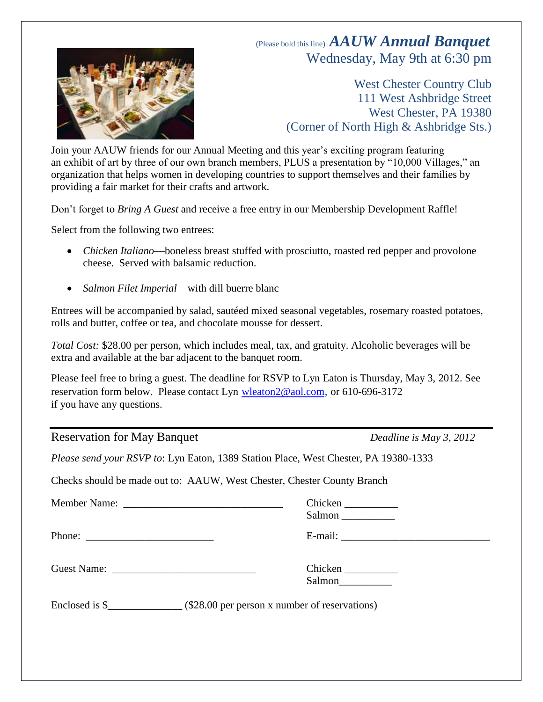# (Please bold this line) *AAUW Annual Banquet* Wednesday, May 9th at 6:30 pm

West Chester Country Club 111 West Ashbridge Street West Chester, PA 19380 (Corner of North High & Ashbridge Sts.)

Join your AAUW friends for our Annual Meeting and this year's exciting program featuring an exhibit of art by three of our own branch members, PLUS a presentation by "10,000 Villages," an organization that helps women in developing countries to support themselves and their families by providing a fair market for their crafts and artwork.

Don't forget to *Bring A Guest* and receive a free entry in our Membership Development Raffle!

Select from the following two entrees:

- *Chicken Italiano*—boneless breast stuffed with prosciutto, roasted red pepper and provolone cheese. Served with balsamic reduction.
- *Salmon Filet Imperial*—with dill buerre blanc

Entrees will be accompanied by salad, sautéed mixed seasonal vegetables, rosemary roasted potatoes, rolls and butter, coffee or tea, and chocolate mousse for dessert.

*Total Cost:* \$28.00 per person, which includes meal, tax, and gratuity. Alcoholic beverages will be extra and available at the bar adjacent to the banquet room.

Please feel free to bring a guest. The deadline for RSVP to Lyn Eaton is Thursday, May 3, 2012. See reservation form below. Please contact Lyn [wleaton2@aol.com](mailto:wleaton2@aol.com), or 610-696-3172 if you have any questions.

### Reservation for May Banquet *Deadline is May 3, 2012*

*Please send your RSVP to*: Lyn Eaton, 1389 Station Place, West Chester, PA 19380-1333

Checks should be made out to: AAUW, West Chester, Chester County Branch

| Chicken<br>Salmon |
|-------------------|
|                   |
| Chicken<br>Salmon |
|                   |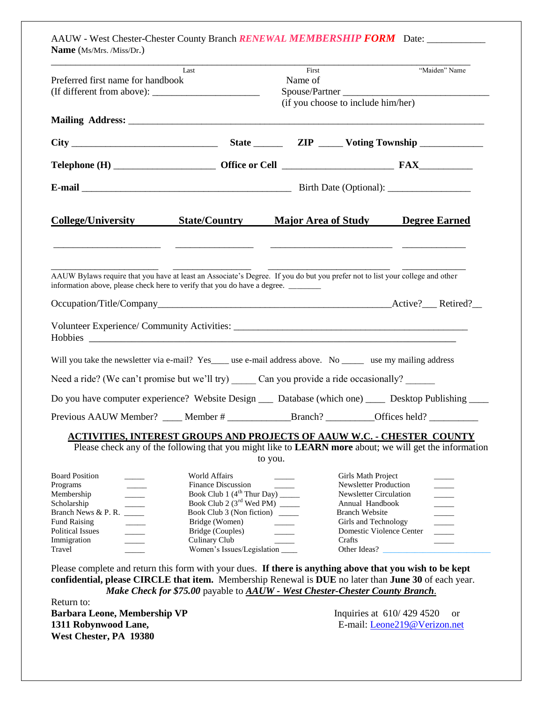| Last                              | First   |                                    | "Maiden" Name  |
|-----------------------------------|---------|------------------------------------|----------------|
| Preferred first name for handbook | Name of |                                    |                |
|                                   |         |                                    | Spouse/Partner |
|                                   |         | (if you choose to include him/her) |                |
|                                   |         |                                    |                |
|                                   |         |                                    |                |
|                                   |         |                                    |                |
|                                   |         |                                    |                |

| AAUW Bylaws require that you have at least an Associate's Degree. If you do but you prefer not to list your college and other<br>information above, please check here to verify that you do have a degree. |  |  |
|------------------------------------------------------------------------------------------------------------------------------------------------------------------------------------------------------------|--|--|
|                                                                                                                                                                                                            |  |  |
|                                                                                                                                                                                                            |  |  |
| Will you take the newsletter via e-mail? Yes____ use e-mail address above. No ______ use my mailing address                                                                                                |  |  |
| Need a ride? (We can't promise but we'll try) Can you provide a ride occasionally?                                                                                                                         |  |  |
| Do you have computer experience? Website Design __ Database (which one) ______ Desktop Publishing _____                                                                                                    |  |  |
|                                                                                                                                                                                                            |  |  |

#### **ACTIVITIES, INTEREST GROUPS AND PROJECTS OF AAUW W.C. - CHESTER COUNTY**

 Please check any of the following that you might like to **LEARN more** about; we will get the information to you.

| <b>Board Position</b><br>Programs<br>Membership<br>Scholarship<br>Branch News & P. R.<br>Fund Raising<br><b>Political Issues</b><br>Immigration | <b>World Affairs</b><br><b>Finance Discussion</b><br>Book Club 1 $(4^{th}$ Thur Day) _______<br>Book Club 2 $(3rd$ Wed PM) _____<br>Book Club 3 (Non fiction)<br>Bridge (Women)<br>Bridge (Couples)<br>Culinary Club | Girls Math Project<br><b>Newsletter Production</b><br>Newsletter Circulation<br>Annual Handbook<br><b>Branch Website</b><br>Girls and Technology<br>Domestic Violence Center<br>Crafts |  |
|-------------------------------------------------------------------------------------------------------------------------------------------------|----------------------------------------------------------------------------------------------------------------------------------------------------------------------------------------------------------------------|----------------------------------------------------------------------------------------------------------------------------------------------------------------------------------------|--|
| Travel                                                                                                                                          |                                                                                                                                                                                                                      | Other Ideas?                                                                                                                                                                           |  |

Please complete and return this form with your dues. **If there is anything above that you wish to be kept confidential, please CIRCLE that item.** Membership Renewal is **DUE** no later than **June 30** of each year. *Make Check for \$75.00* payable to *AAUW - West Chester-Chester County Branch*.

Return to: **Barbara Leone, Membership VP** Inquiries at 610/429 4520 or **1311 Robynwood Lane,** E-mail: [Leone219@Verizon.net](mailto:Leone219@Verizon.net) **West Chester, PA 19380**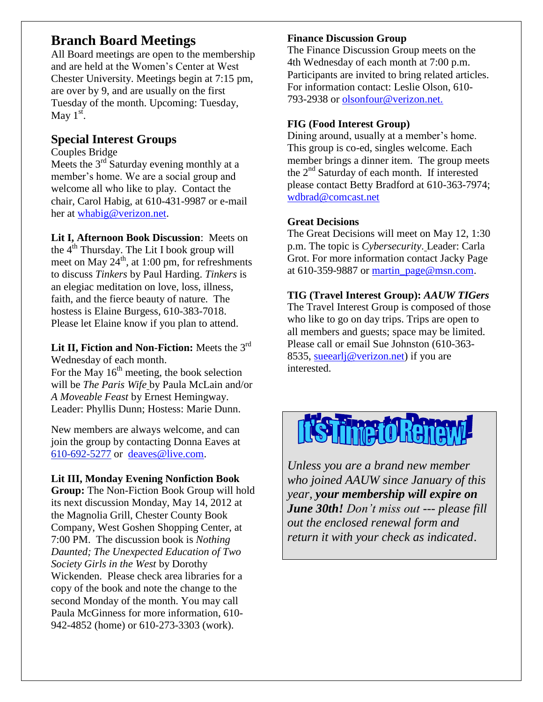# **Branch Board Meetings**

All Board meetings are open to the membership and are held at the Women's Center at West Chester University. Meetings begin at 7:15 pm, are over by 9, and are usually on the first Tuesday of the month. Upcoming: Tuesday, May  $1<sup>st</sup>$ .

## **Special Interest Groups**

Couples Bridge

Meets the  $3<sup>rd</sup>$  Saturday evening monthly at a member's home. We are a social group and welcome all who like to play. Contact the chair, Carol Habig, at 610-431-9987 or e-mail her at [whabig@verizon.net.](mailto:whabig@verizon.net)

**Lit I, Afternoon Book Discussion**: Meets on the  $4<sup>th</sup>$  Thursday. The Lit I book group will meet on May  $24^{\text{th}}$ , at 1:00 pm, for refreshments to discuss *Tinkers* by Paul Harding. *Tinkers* is an elegiac meditation on love, loss, illness, faith, and the fierce beauty of nature. The hostess is Elaine Burgess, 610-383-7018. Please let Elaine know if you plan to attend.

**Lit II, Fiction and Non-Fiction:** Meets the 3rd Wednesday of each month.

For the May  $16<sup>th</sup>$  meeting, the book selection will be *The Paris Wife* by Paula McLain and/or *A Moveable Feast* by Ernest Hemingway. Leader: Phyllis Dunn; Hostess: Marie Dunn.

New members are always welcome, and can join the group by contacting Donna Eaves at [610-692-5277](tel:/610-692-5277) or [deaves@live.com.](mailto:deaves@live.com)

### **Lit III, Monday Evening Nonfiction Book**

**Group:** The Non-Fiction Book Group will hold its next discussion Monday, May 14, 2012 at the Magnolia Grill, Chester County Book Company, West Goshen Shopping Center, at 7:00 PM. The discussion book is *Nothing Daunted; The Unexpected Education of Two Society Girls in the West* by Dorothy Wickenden. Please check area libraries for a copy of the book and note the change to the second Monday of the month. You may call Paula McGinness for more information, 610- 942-4852 (home) or 610-273-3303 (work).

#### **Finance Discussion Group**

The Finance Discussion Group meets on the 4th Wednesday of each month at 7:00 p.m. Participants are invited to bring related articles. For information contact: Leslie Olson, 610- 793-2938 or olsonfour@verizon.net.

### **FIG (Food Interest Group)**

Dining around, usually at a member's home. This group is co-ed, singles welcome. Each member brings a dinner item. The group meets the 2nd Saturday of each month. If interested please contact Betty Bradford at 610-363-7974; [wdbrad@comcast.net](mailto:wdbrad@comcast.net) 

### **Great Decisions**

The Great Decisions will meet on May 12, 1:30 p.m. The topic is *Cybersecurity*. Leader: Carla Grot. For more information contact Jacky Page at  $610-359-9887$  or martin  $page@msn.com$ .

### **TIG (Travel Interest Group):** *AAUW TIGers*

The Travel Interest Group is composed of those who like to go on day trips. Trips are open to all members and guests; space may be limited. Please call or email Sue Johnston (610-363- 8535, sueearlj@verizon.net) if you are interested.



*Unless you are a brand new member who joined AAUW since January of this year, your membership will expire on June 30th! Don't miss out --- please fill out the enclosed renewal form and return it with your check as indicated*.